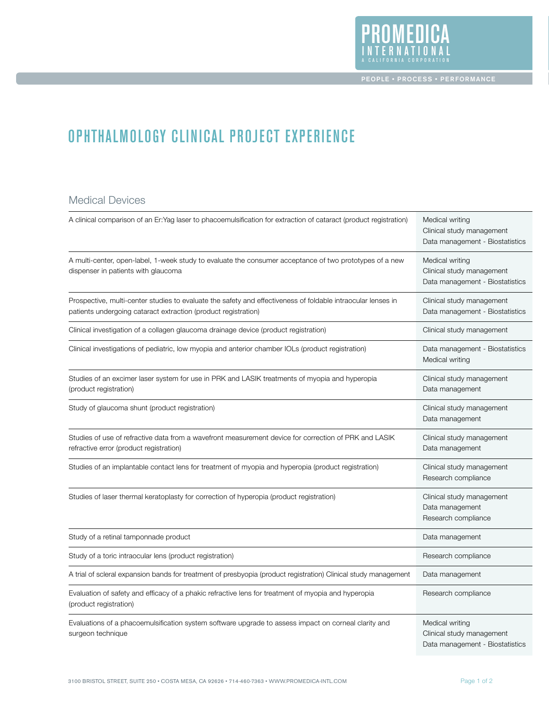

# OPHTHALMOLOGY CLINICAL PROJECT EXPERIENCE

#### Medical Devices

| A clinical comparison of an Er: Yag laser to phacoemulsification for extraction of cataract (product registration)                                                             | Medical writing<br>Clinical study management<br>Data management - Biostatistics |
|--------------------------------------------------------------------------------------------------------------------------------------------------------------------------------|---------------------------------------------------------------------------------|
| A multi-center, open-label, 1-week study to evaluate the consumer acceptance of two prototypes of a new<br>dispenser in patients with glaucoma                                 | Medical writing<br>Clinical study management<br>Data management - Biostatistics |
| Prospective, multi-center studies to evaluate the safety and effectiveness of foldable intraocular lenses in<br>patients undergoing cataract extraction (product registration) | Clinical study management<br>Data management - Biostatistics                    |
| Clinical investigation of a collagen glaucoma drainage device (product registration)                                                                                           | Clinical study management                                                       |
| Clinical investigations of pediatric, low myopia and anterior chamber IOLs (product registration)                                                                              | Data management - Biostatistics<br>Medical writing                              |
| Studies of an excimer laser system for use in PRK and LASIK treatments of myopia and hyperopia<br>(product registration)                                                       | Clinical study management<br>Data management                                    |
| Study of glaucoma shunt (product registration)                                                                                                                                 | Clinical study management<br>Data management                                    |
| Studies of use of refractive data from a wavefront measurement device for correction of PRK and LASIK<br>refractive error (product registration)                               | Clinical study management<br>Data management                                    |
| Studies of an implantable contact lens for treatment of myopia and hyperopia (product registration)                                                                            | Clinical study management<br>Research compliance                                |
| Studies of laser thermal keratoplasty for correction of hyperopia (product registration)                                                                                       | Clinical study management<br>Data management<br>Research compliance             |
| Study of a retinal tamponnade product                                                                                                                                          | Data management                                                                 |
| Study of a toric intraocular lens (product registration)                                                                                                                       | Research compliance                                                             |
| A trial of scleral expansion bands for treatment of presbyopia (product registration) Clinical study management                                                                | Data management                                                                 |
| Evaluation of safety and efficacy of a phakic refractive lens for treatment of myopia and hyperopia<br>(product registration)                                                  | Research compliance                                                             |
| Evaluations of a phacoemulsification system software upgrade to assess impact on corneal clarity and<br>surgeon technique                                                      | Medical writing<br>Clinical study management<br>Data management - Biostatistics |